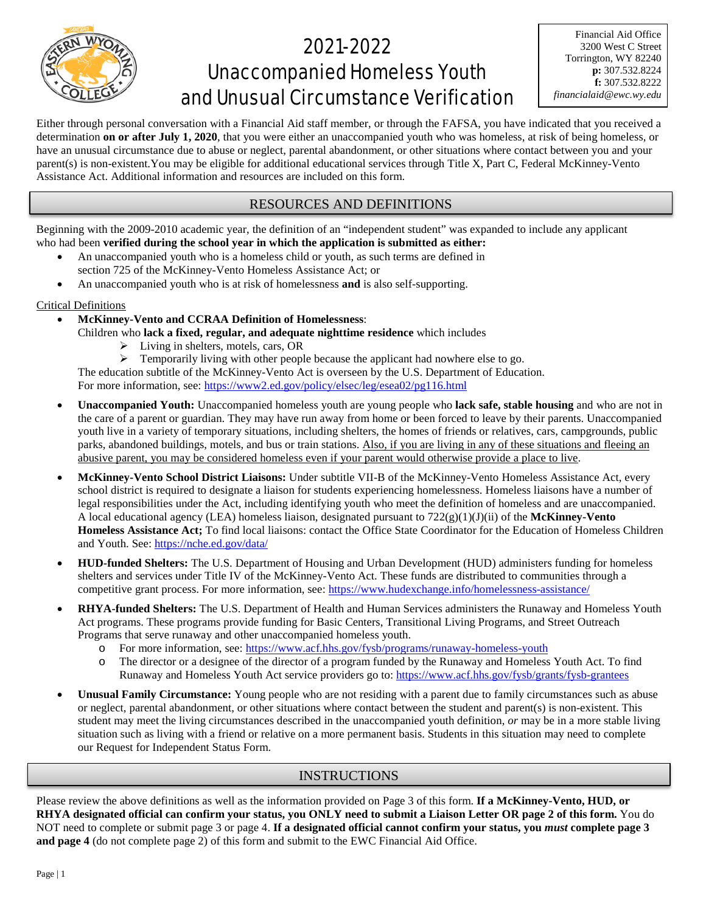

## 2021-2022 Unaccompanied Homeless Youth and Unusual Circumstance Verification

Either through personal conversation with a Financial Aid staff member, or through the FAFSA, you have indicated that you received a determination **on or after July 1, 2020**, that you were either an unaccompanied youth who was homeless, at risk of being homeless, or have an unusual circumstance due to abuse or neglect, parental abandonment, or other situations where contact between you and your parent(s) is non-existent.You may be eligible for additional educational services through Title X, Part C, Federal McKinney-Vento Assistance Act. Additional information and resources are included on this form.

## RESOURCES AND DEFINITIONS

Beginning with the 2009-2010 academic year, the definition of an "independent student" was expanded to include any applicant who had been **verified during the school year in which the application is submitted as either:**

- An unaccompanied youth who is a homeless child or youth, as such terms are defined in section 725 of the McKinney-Vento Homeless Assistance Act; or
- An unaccompanied youth who is at risk of homelessness **and** is also self-supporting.

#### Critical Definitions

- **McKinney-Vento and CCRAA Definition of Homelessness**:
	- Children who **lack a fixed, regular, and adequate nighttime residence** which includes
		- Living in shelters, motels, cars, OR

 $\triangleright$  Temporarily living with other people because the applicant had nowhere else to go. The education subtitle of the McKinney-Vento Act is overseen by the U.S. Department of Education. For more information, see: https://www2.ed.gov/policy/elsec/leg/esea02/pg116.html

- **Unaccompanied Youth:** Unaccompanied homeless youth are young people who **lack safe, stable housing** and who are not in the care of a parent or guardian. They may have run away from home or been forced to leave by their parents. Unaccompanied youth live in a variety of temporary situations, including shelters, the homes of friends or relatives, cars, campgrounds, public parks, abandoned buildings, motels, and bus or train stations. Also, if you are living in any of these situations and fleeing an abusive parent, you may be considered homeless even if your parent would otherwise provide a place to live.
- **McKinney-Vento School District Liaisons:** Under subtitle VII-B of the McKinney-Vento Homeless Assistance Act, every school district is required to designate a liaison for students experiencing homelessness. Homeless liaisons have a number of legal responsibilities under the Act, including identifying youth who meet the definition of homeless and are unaccompanied. A local educational agency (LEA) homeless liaison, designated pursuant to 722(g)(1)(J)(ii) of the **McKinney-Vento Homeless Assistance Act;** To find local liaisons: contact the Office State Coordinator for the Education of Homeless Children and Youth. See:<https://nche.ed.gov/data/>
- **HUD-funded Shelters:** The U.S. Department of Housing and Urban Development (HUD) administers funding for homeless shelters and services under Title IV of the McKinney-Vento Act. These funds are distributed to communities through a competitive grant process. For more information, see:<https://www.hudexchange.info/homelessness-assistance/>
- **RHYA-funded Shelters:** The U.S. Department of Health and Human Services administers the Runaway and Homeless Youth Act programs. These programs provide funding for Basic Centers, Transitional Living Programs, and Street Outreach Programs that serve runaway and other unaccompanied homeless youth.
	- o For more information, see:<https://www.acf.hhs.gov/fysb/programs/runaway-homeless-youth>
	- o The director or a designee of the director of a program funded by the Runaway and Homeless Youth Act. To find Runaway and Homeless Youth Act service providers go to[: https://www.acf.hhs.gov/fysb/grants/fysb-grantees](https://www.acf.hhs.gov/fysb/grants/fysb-grantees)
- **Unusual Family Circumstance:** Young people who are not residing with a parent due to family circumstances such as abuse or neglect, parental abandonment, or other situations where contact between the student and parent(s) is non-existent. This student may meet the living circumstances described in the unaccompanied youth definition, *or* may be in a more stable living situation such as living with a friend or relative on a more permanent basis. Students in this situation may need to complete our Request for Independent Status Form.

## INSTRUCTIONS

Please review the above definitions as well as the information provided on Page 3 of this form. **If a McKinney-Vento, HUD, or RHYA designated official can confirm your status, you ONLY need to submit a Liaison Letter OR page 2 of this form.** You do NOT need to complete or submit page 3 or page 4. **If a designated official cannot confirm your status, you** *must* **complete page 3 and page 4** (do not complete page 2) of this form and submit to the EWC Financial Aid Office.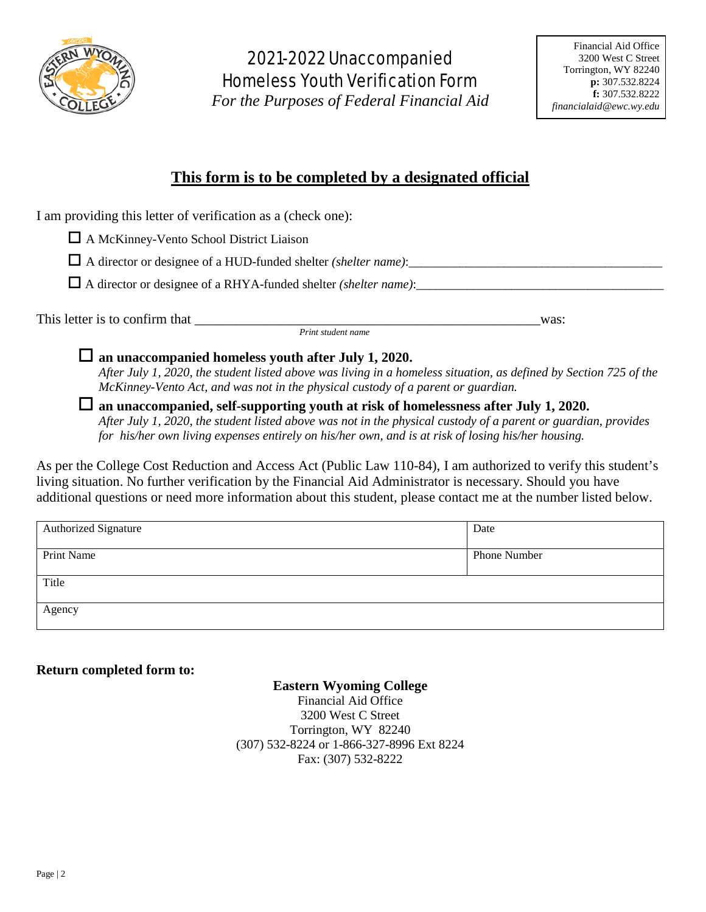

## 2021-2022 Unaccompanied Homeless Youth Verification Form

*For the Purposes of Federal Financial Aid*

## **This form is to be completed by a designated official**

I am providing this letter of verification as a (check one):

A McKinney-Vento School District Liaison

 $\Box$  A director or designee of a HUD-funded shelter *(shelter name)*:

A director or designee of a RHYA-funded shelter *(shelter name)*:\_\_\_\_\_\_\_\_\_\_\_\_\_\_\_\_\_\_\_\_\_\_\_\_\_\_\_\_\_\_\_\_\_\_\_\_\_\_\_

This letter is to confirm that \_\_\_\_\_\_\_\_\_\_\_\_\_\_\_\_\_\_\_\_\_\_\_\_\_\_\_\_\_\_\_\_\_\_\_\_\_\_\_\_\_\_\_\_\_\_\_\_\_\_was: *Print student name*

**an unaccompanied homeless youth after July 1, 2020.**

*After July 1, 2020, the student listed above was living in a homeless situation, as defined by Section 725 of the McKinney-Vento Act, and was not in the physical custody of a parent or guardian.* 

 **an unaccompanied, self-supporting youth at risk of homelessness after July 1, 2020.** *After July 1, 2020, the student listed above was not in the physical custody of a parent or guardian, provides for his/her own living expenses entirely on his/her own, and is at risk of losing his/her housing.* 

As per the College Cost Reduction and Access Act (Public Law 110-84), I am authorized to verify this student's living situation. No further verification by the Financial Aid Administrator is necessary. Should you have additional questions or need more information about this student, please contact me at the number listed below.

| <b>Authorized Signature</b> | Date         |
|-----------------------------|--------------|
|                             |              |
| Print Name                  | Phone Number |
|                             |              |
| Title                       |              |
|                             |              |
| Agency                      |              |
|                             |              |

## **Return completed form to:**

## **Eastern Wyoming College**

Financial Aid Office 3200 West C Street Torrington, WY 82240 (307) 532-8224 or 1-866-327-8996 Ext 8224 Fax: (307) 532-8222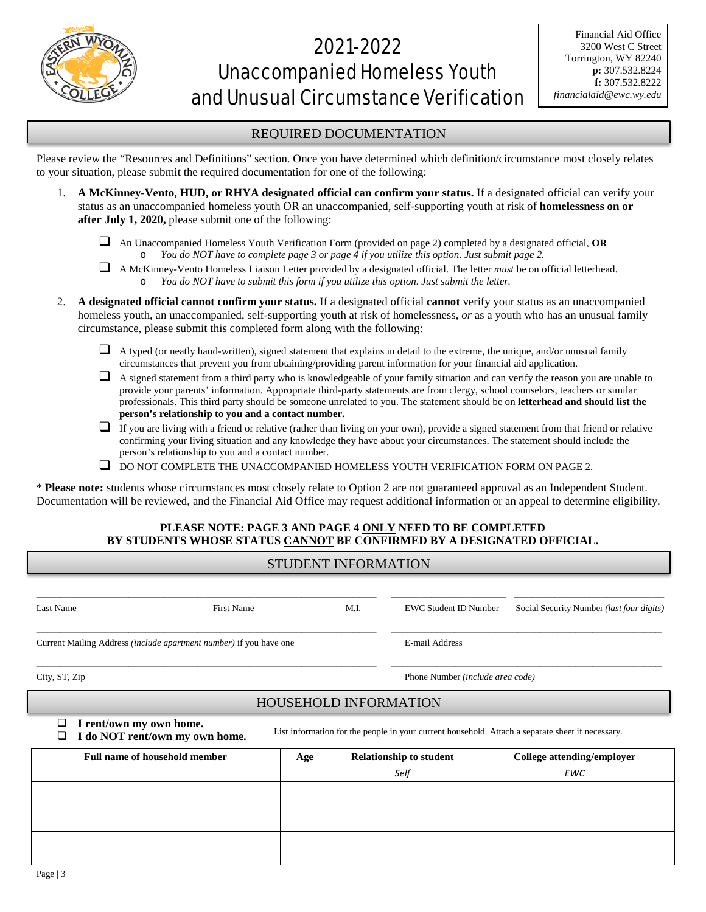

# 2021-2022 Unaccompanied Homeless Youth and Unusual Circumstance Verification

### REQUIRED DOCUMENTATION

Please review the "Resources and Definitions" section. Once you have determined which definition/circumstance most closely relates to your situation, please submit the required documentation for one of the following:

- 1. **A McKinney-Vento, HUD, or RHYA designated official can confirm your status.** If a designated official can verify your status as an unaccompanied homeless youth OR an unaccompanied, self-supporting youth at risk of **homelessness on or after July 1, 2020,** please submit one of the following:
	- An Unaccompanied Homeless Youth Verification Form (provided on page 2) completed by a designated official, **OR** o *You do NOT have to complete page 3 or page 4 if you utilize this option. Just submit page 2.*
	- A McKinney-Vento Homeless Liaison Letter provided by a designated official. The letter *must* be on official letterhead. o *You do NOT have to submit this form if you utilize this option. Just submit the letter.*
- 2. **A designated official cannot confirm your status.** If a designated official **cannot** verify your status as an unaccompanied homeless youth, an unaccompanied, self-supporting youth at risk of homelessness, *or* as a youth who has an unusual family circumstance, please submit this completed form along with the following:
	- $\Box$  A typed (or neatly hand-written), signed statement that explains in detail to the extreme, the unique, and/or unusual family circumstances that prevent you from obtaining/providing parent information for your financial aid application.
	- $\Box$  A signed statement from a third party who is knowledgeable of your family situation and can verify the reason you are unable to provide your parents' information. Appropriate third-party statements are from clergy, school counselors, teachers or similar professionals. This third party should be someone unrelated to you. The statement should be on **letterhead and should list the person's relationship to you and a contact number.**
	- $\Box$  If you are living with a friend or relative (rather than living on your own), provide a signed statement from that friend or relative confirming your living situation and any knowledge they have about your circumstances. The statement should include the person's relationship to you and a contact number.
	- $\Box$  DO NOT COMPLETE THE UNACCOMPANIED HOMELESS YOUTH VERIFICATION FORM ON PAGE 2.

\* **Please note:** students whose circumstances most closely relate to Option 2 are not guaranteed approval as an Independent Student. Documentation will be reviewed, and the Financial Aid Office may request additional information or an appeal to determine eligibility.

### **PLEASE NOTE: PAGE 3 AND PAGE 4 ONLY NEED TO BE COMPLETED BY STUDENTS WHOSE STATUS CANNOT BE CONFIRMED BY A DESIGNATED OFFICIAL.**

| Last Name                                                                                                                                                            | <b>First Name</b> |                | M.I.                             | <b>EWC Student ID Number</b>   | Social Security Number (last four digits) |  |  |
|----------------------------------------------------------------------------------------------------------------------------------------------------------------------|-------------------|----------------|----------------------------------|--------------------------------|-------------------------------------------|--|--|
| Current Mailing Address <i>(include apartment number)</i> if you have one                                                                                            |                   | E-mail Address |                                  |                                |                                           |  |  |
| City, ST, Zip                                                                                                                                                        |                   |                | Phone Number (include area code) |                                |                                           |  |  |
| <b>HOUSEHOLD INFORMATION</b>                                                                                                                                         |                   |                |                                  |                                |                                           |  |  |
| I rent/own my own home.<br>n l<br>List information for the people in your current household. Attach a separate sheet if necessary.<br>I do NOT rent/own my own home. |                   |                |                                  |                                |                                           |  |  |
| <b>Full name of household member</b>                                                                                                                                 |                   | Age            |                                  | <b>Relationship to student</b> | College attending/employer                |  |  |
|                                                                                                                                                                      |                   |                |                                  | Self                           | <b>EWC</b>                                |  |  |
|                                                                                                                                                                      |                   |                |                                  |                                |                                           |  |  |
|                                                                                                                                                                      |                   |                |                                  |                                |                                           |  |  |
|                                                                                                                                                                      |                   |                |                                  |                                |                                           |  |  |
|                                                                                                                                                                      |                   |                |                                  |                                |                                           |  |  |